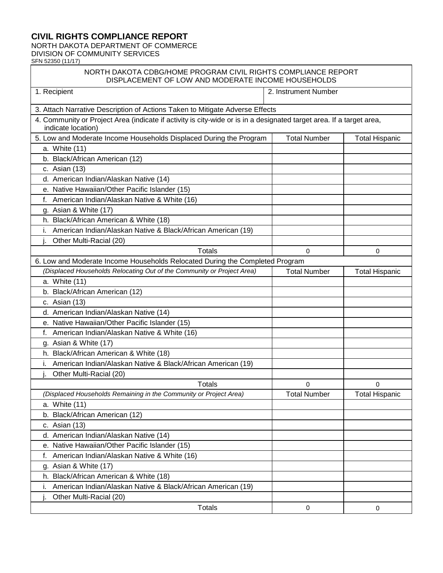## **CIVIL RIGHTS COMPLIANCE REPORT**

NORTH DAKOTA DEPARTMENT OF COMMERCE DIVISION OF COMMUNITY SERVICES

SFN 52350 (11/17)

## NORTH DAKOTA CDBG/HOME PROGRAM CIVIL RIGHTS COMPLIANCE REPORT DISPLACEMENT OF LOW AND MODERATE INCOME HOUSEHOLDS

| 1. Recipient                                                                                                                               | 2. Instrument Number |                       |
|--------------------------------------------------------------------------------------------------------------------------------------------|----------------------|-----------------------|
| 3. Attach Narrative Description of Actions Taken to Mitigate Adverse Effects                                                               |                      |                       |
| 4. Community or Project Area (indicate if activity is city-wide or is in a designated target area. If a target area,<br>indicate location) |                      |                       |
| 5. Low and Moderate Income Households Displaced During the Program                                                                         | <b>Total Number</b>  | <b>Total Hispanic</b> |
| a. White (11)                                                                                                                              |                      |                       |
| b. Black/African American (12)                                                                                                             |                      |                       |
| c. Asian (13)                                                                                                                              |                      |                       |
| d. American Indian/Alaskan Native (14)                                                                                                     |                      |                       |
| e. Native Hawaiian/Other Pacific Islander (15)                                                                                             |                      |                       |
| American Indian/Alaskan Native & White (16)<br>f.                                                                                          |                      |                       |
| g. Asian & White (17)                                                                                                                      |                      |                       |
| h. Black/African American & White (18)                                                                                                     |                      |                       |
| American Indian/Alaskan Native & Black/African American (19)                                                                               |                      |                       |
| Other Multi-Racial (20)                                                                                                                    |                      |                       |
| <b>Totals</b>                                                                                                                              | $\Omega$             | 0                     |
| 6. Low and Moderate Income Households Relocated During the Completed Program                                                               |                      |                       |
| (Displaced Households Relocating Out of the Community or Project Area)                                                                     | <b>Total Number</b>  | <b>Total Hispanic</b> |
| a. White (11)                                                                                                                              |                      |                       |
| b. Black/African American (12)                                                                                                             |                      |                       |
| c. Asian (13)                                                                                                                              |                      |                       |
| d. American Indian/Alaskan Native (14)                                                                                                     |                      |                       |
| e. Native Hawaiian/Other Pacific Islander (15)                                                                                             |                      |                       |
| American Indian/Alaskan Native & White (16)<br>f.                                                                                          |                      |                       |
| g. Asian & White (17)                                                                                                                      |                      |                       |
| h. Black/African American & White (18)                                                                                                     |                      |                       |
| American Indian/Alaskan Native & Black/African American (19)<br>i.                                                                         |                      |                       |
| Other Multi-Racial (20)                                                                                                                    |                      |                       |
| <b>Totals</b>                                                                                                                              | $\Omega$             | $\Omega$              |
| (Displaced Households Remaining in the Community or Project Area)                                                                          | <b>Total Number</b>  | <b>Total Hispanic</b> |
| a. White (11)                                                                                                                              |                      |                       |
| b. Black/African American (12)                                                                                                             |                      |                       |
| c. Asian (13)                                                                                                                              |                      |                       |
| d. American Indian/Alaskan Native (14)                                                                                                     |                      |                       |
| e. Native Hawaiian/Other Pacific Islander (15)                                                                                             |                      |                       |
| American Indian/Alaskan Native & White (16)<br>f.                                                                                          |                      |                       |
| g. Asian & White (17)                                                                                                                      |                      |                       |
| h. Black/African American & White (18)                                                                                                     |                      |                       |
| American Indian/Alaskan Native & Black/African American (19)                                                                               |                      |                       |
| Other Multi-Racial (20)                                                                                                                    |                      |                       |
| <b>Totals</b>                                                                                                                              | 0                    | 0                     |